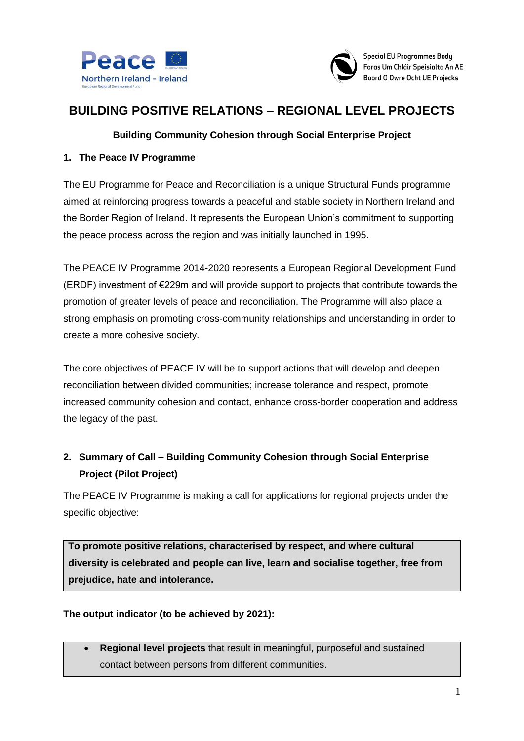



# **BUILDING POSITIVE RELATIONS – REGIONAL LEVEL PROJECTS**

## **Building Community Cohesion through Social Enterprise Project**

#### **1. The Peace IV Programme**

The EU Programme for Peace and Reconciliation is a unique Structural Funds programme aimed at reinforcing progress towards a peaceful and stable society in Northern Ireland and the Border Region of Ireland. It represents the European Union's commitment to supporting the peace process across the region and was initially launched in 1995.

The PEACE IV Programme 2014-2020 represents a European Regional Development Fund (ERDF) investment of €229m and will provide support to projects that contribute towards the promotion of greater levels of peace and reconciliation. The Programme will also place a strong emphasis on promoting cross-community relationships and understanding in order to create a more cohesive society.

The core objectives of PEACE IV will be to support actions that will develop and deepen reconciliation between divided communities; increase tolerance and respect, promote increased community cohesion and contact, enhance cross-border cooperation and address the legacy of the past.

## **2. Summary of Call – Building Community Cohesion through Social Enterprise Project (Pilot Project)**

The PEACE IV Programme is making a call for applications for regional projects under the specific objective:

**To promote positive relations, characterised by respect, and where cultural diversity is celebrated and people can live, learn and socialise together, free from prejudice, hate and intolerance.** 

#### **The output indicator (to be achieved by 2021):**

 **Regional level projects** that result in meaningful, purposeful and sustained contact between persons from different communities.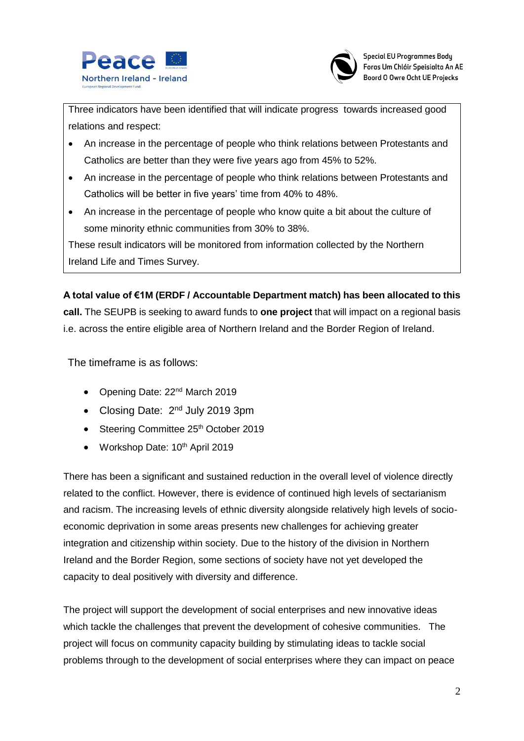



Three indicators have been identified that will indicate progress towards increased good relations and respect:

- An increase in the percentage of people who think relations between Protestants and Catholics are better than they were five years ago from 45% to 52%.
- An increase in the percentage of people who think relations between Protestants and Catholics will be better in five years' time from 40% to 48%.
- An increase in the percentage of people who know quite a bit about the culture of some minority ethnic communities from 30% to 38%.

These result indicators will be monitored from information collected by the Northern Ireland Life and Times Survey.

**A total value of €1M (ERDF / Accountable Department match) has been allocated to this call.** The SEUPB is seeking to award funds to **one project** that will impact on a regional basis i.e. across the entire eligible area of Northern Ireland and the Border Region of Ireland.

The timeframe is as follows:

- Opening Date: 22<sup>nd</sup> March 2019
- Closing Date: 2<sup>nd</sup> July 2019 3pm
- Steering Committee 25<sup>th</sup> October 2019
- Workshop Date: 10<sup>th</sup> April 2019

There has been a significant and sustained reduction in the overall level of violence directly related to the conflict. However, there is evidence of continued high levels of sectarianism and racism. The increasing levels of ethnic diversity alongside relatively high levels of socioeconomic deprivation in some areas presents new challenges for achieving greater integration and citizenship within society. Due to the history of the division in Northern Ireland and the Border Region, some sections of society have not yet developed the capacity to deal positively with diversity and difference.

The project will support the development of social enterprises and new innovative ideas which tackle the challenges that prevent the development of cohesive communities. The project will focus on community capacity building by stimulating ideas to tackle social problems through to the development of social enterprises where they can impact on peace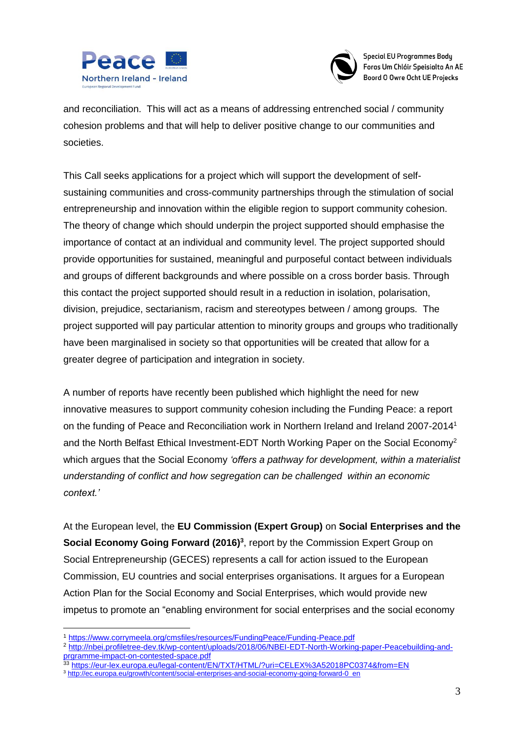



and reconciliation. This will act as a means of addressing entrenched social / community cohesion problems and that will help to deliver positive change to our communities and societies.

This Call seeks applications for a project which will support the development of selfsustaining communities and cross-community partnerships through the stimulation of social entrepreneurship and innovation within the eligible region to support community cohesion. The theory of change which should underpin the project supported should emphasise the importance of contact at an individual and community level. The project supported should provide opportunities for sustained, meaningful and purposeful contact between individuals and groups of different backgrounds and where possible on a cross border basis. Through this contact the project supported should result in a reduction in isolation, polarisation, division, prejudice, sectarianism, racism and stereotypes between / among groups. The project supported will pay particular attention to minority groups and groups who traditionally have been marginalised in society so that opportunities will be created that allow for a greater degree of participation and integration in society.

A number of reports have recently been published which highlight the need for new innovative measures to support community cohesion including the Funding Peace: a report on the funding of Peace and Reconciliation work in Northern Ireland and Ireland 2007-2014<sup>1</sup> and the North Belfast Ethical Investment-EDT North Working Paper on the Social Economy<sup>2</sup> which argues that the Social Economy *'offers a pathway for development, within a materialist understanding of conflict and how segregation can be challenged within an economic context.'*

At the European level, the **EU Commission (Expert Group)** on **Social Enterprises and the Social Economy Going Forward (2016)<sup>3</sup>, report by the Commission Expert Group on** Social Entrepreneurship (GECES) represents a call for action issued to the European Commission, EU countries and social enterprises organisations. It argues for a European Action Plan for the Social Economy and Social Enterprises, which would provide new impetus to promote an "enabling environment for social enterprises and the social economy

1

<sup>1</sup> <https://www.corrymeela.org/cmsfiles/resources/FundingPeace/Funding-Peace.pdf>

<sup>2</sup> [http://nbei.profiletree-dev.tk/wp-content/uploads/2018/06/NBEI-EDT-North-Working-paper-Peacebuilding-and](http://nbei.profiletree-dev.tk/wp-content/uploads/2018/06/NBEI-EDT-North-Working-paper-Peacebuilding-and-prgramme-impact-on-contested-space.pdf)[prgramme-impact-on-contested-space.pdf](http://nbei.profiletree-dev.tk/wp-content/uploads/2018/06/NBEI-EDT-North-Working-paper-Peacebuilding-and-prgramme-impact-on-contested-space.pdf)

<sup>33</sup> <https://eur-lex.europa.eu/legal-content/EN/TXT/HTML/?uri=CELEX%3A52018PC0374&from=EN>

<sup>3</sup> [http://ec.europa.eu/growth/content/social-enterprises-and-social-economy-going-forward-0\\_en](http://ec.europa.eu/growth/content/social-enterprises-and-social-economy-going-forward-0_en)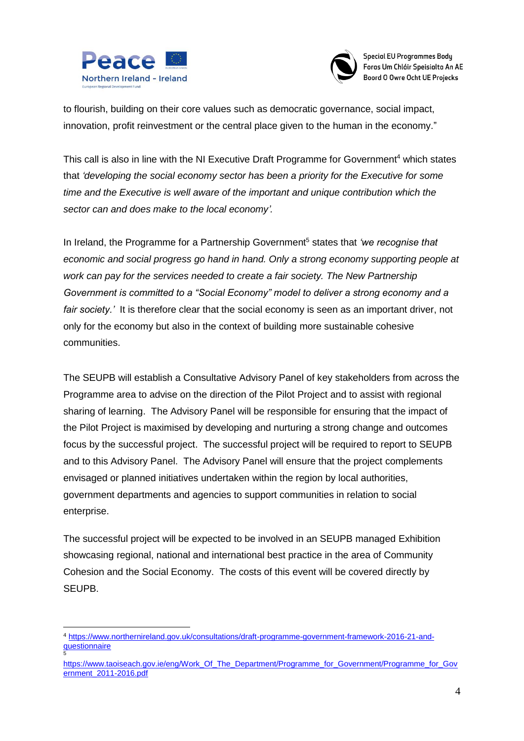



to flourish, building on their core values such as democratic governance, social impact, innovation, profit reinvestment or the central place given to the human in the economy."

This call is also in line with the NI Executive Draft Programme for Government<sup>4</sup> which states that *'developing the social economy sector has been a priority for the Executive for some time and the Executive is well aware of the important and unique contribution which the sector can and does make to the local economy'.*

In Ireland, the Programme for a Partnership Government<sup>5</sup> states that *'we recognise that economic and social progress go hand in hand. Only a strong economy supporting people at work can pay for the services needed to create a fair society. The New Partnership Government is committed to a "Social Economy" model to deliver a strong economy and a fair society.'* It is therefore clear that the social economy is seen as an important driver, not only for the economy but also in the context of building more sustainable cohesive communities.

The SEUPB will establish a Consultative Advisory Panel of key stakeholders from across the Programme area to advise on the direction of the Pilot Project and to assist with regional sharing of learning. The Advisory Panel will be responsible for ensuring that the impact of the Pilot Project is maximised by developing and nurturing a strong change and outcomes focus by the successful project. The successful project will be required to report to SEUPB and to this Advisory Panel. The Advisory Panel will ensure that the project complements envisaged or planned initiatives undertaken within the region by local authorities, government departments and agencies to support communities in relation to social enterprise.

The successful project will be expected to be involved in an SEUPB managed Exhibition showcasing regional, national and international best practice in the area of Community Cohesion and the Social Economy. The costs of this event will be covered directly by SEUPB.

<sup>&</sup>lt;u>.</u> <sup>4</sup> [https://www.northernireland.gov.uk/consultations/draft-programme-government-framework-2016-21-and](https://www.northernireland.gov.uk/consultations/draft-programme-government-framework-2016-21-and-questionnaire)**[questionnaire](https://www.northernireland.gov.uk/consultations/draft-programme-government-framework-2016-21-and-questionnaire)** 5

[https://www.taoiseach.gov.ie/eng/Work\\_Of\\_The\\_Department/Programme\\_for\\_Government/Programme\\_for\\_Gov](https://www.taoiseach.gov.ie/eng/Work_Of_The_Department/Programme_for_Government/Programme_for_Government_2011-2016.pdf) [ernment\\_2011-2016.pdf](https://www.taoiseach.gov.ie/eng/Work_Of_The_Department/Programme_for_Government/Programme_for_Government_2011-2016.pdf)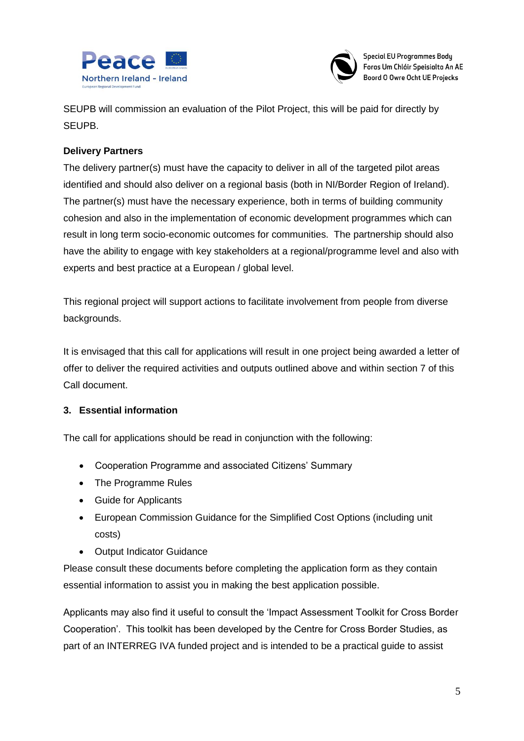



SEUPB will commission an evaluation of the Pilot Project, this will be paid for directly by SEUPB.

## **Delivery Partners**

The delivery partner(s) must have the capacity to deliver in all of the targeted pilot areas identified and should also deliver on a regional basis (both in NI/Border Region of Ireland). The partner(s) must have the necessary experience, both in terms of building community cohesion and also in the implementation of economic development programmes which can result in long term socio-economic outcomes for communities. The partnership should also have the ability to engage with key stakeholders at a regional/programme level and also with experts and best practice at a European / global level.

This regional project will support actions to facilitate involvement from people from diverse backgrounds.

It is envisaged that this call for applications will result in one project being awarded a letter of offer to deliver the required activities and outputs outlined above and within section 7 of this Call document.

#### **3. Essential information**

The call for applications should be read in conjunction with the following:

- Cooperation Programme and associated Citizens' Summary
- The Programme Rules
- Guide for Applicants
- European Commission Guidance for the Simplified Cost Options (including unit costs)
- Output Indicator Guidance

Please consult these documents before completing the application form as they contain essential information to assist you in making the best application possible.

Applicants may also find it useful to consult the 'Impact Assessment Toolkit for Cross Border Cooperation'. This toolkit has been developed by the Centre for Cross Border Studies, as part of an INTERREG IVA funded project and is intended to be a practical guide to assist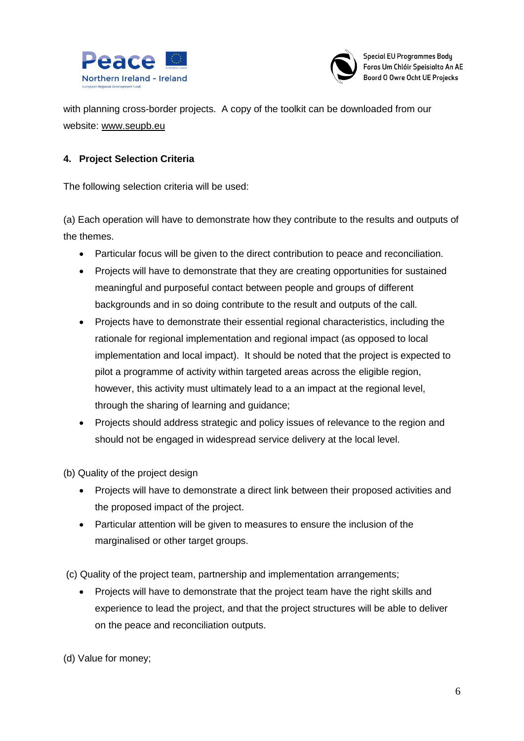



with planning cross-border projects. A copy of the toolkit can be downloaded from our website: [www.seupb.eu](http://www.seupb.eu/)

### **4. Project Selection Criteria**

The following selection criteria will be used:

(a) Each operation will have to demonstrate how they contribute to the results and outputs of the themes.

- Particular focus will be given to the direct contribution to peace and reconciliation.
- Projects will have to demonstrate that they are creating opportunities for sustained meaningful and purposeful contact between people and groups of different backgrounds and in so doing contribute to the result and outputs of the call.
- Projects have to demonstrate their essential regional characteristics, including the rationale for regional implementation and regional impact (as opposed to local implementation and local impact). It should be noted that the project is expected to pilot a programme of activity within targeted areas across the eligible region, however, this activity must ultimately lead to a an impact at the regional level, through the sharing of learning and guidance;
- Projects should address strategic and policy issues of relevance to the region and should not be engaged in widespread service delivery at the local level.

(b) Quality of the project design

- Projects will have to demonstrate a direct link between their proposed activities and the proposed impact of the project.
- Particular attention will be given to measures to ensure the inclusion of the marginalised or other target groups.

(c) Quality of the project team, partnership and implementation arrangements;

• Projects will have to demonstrate that the project team have the right skills and experience to lead the project, and that the project structures will be able to deliver on the peace and reconciliation outputs.

(d) Value for money;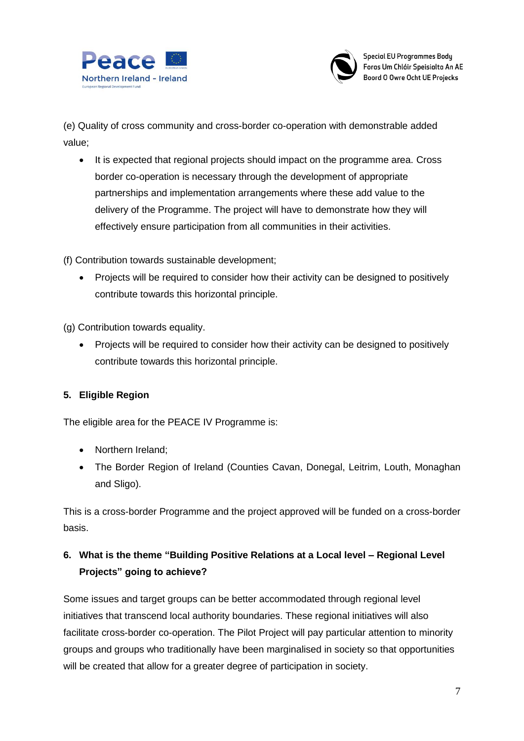



(e) Quality of cross community and cross-border co-operation with demonstrable added value;

 It is expected that regional projects should impact on the programme area. Cross border co-operation is necessary through the development of appropriate partnerships and implementation arrangements where these add value to the delivery of the Programme. The project will have to demonstrate how they will effectively ensure participation from all communities in their activities.

(f) Contribution towards sustainable development;

• Projects will be required to consider how their activity can be designed to positively contribute towards this horizontal principle.

(g) Contribution towards equality.

• Projects will be required to consider how their activity can be designed to positively contribute towards this horizontal principle.

## **5. Eligible Region**

The eligible area for the PEACE IV Programme is:

- Northern Ireland;
- The Border Region of Ireland (Counties Cavan, Donegal, Leitrim, Louth, Monaghan and Sligo).

This is a cross-border Programme and the project approved will be funded on a cross-border basis.

## **6. What is the theme "Building Positive Relations at a Local level – Regional Level Projects" going to achieve?**

Some issues and target groups can be better accommodated through regional level initiatives that transcend local authority boundaries. These regional initiatives will also facilitate cross-border co-operation. The Pilot Project will pay particular attention to minority groups and groups who traditionally have been marginalised in society so that opportunities will be created that allow for a greater degree of participation in society.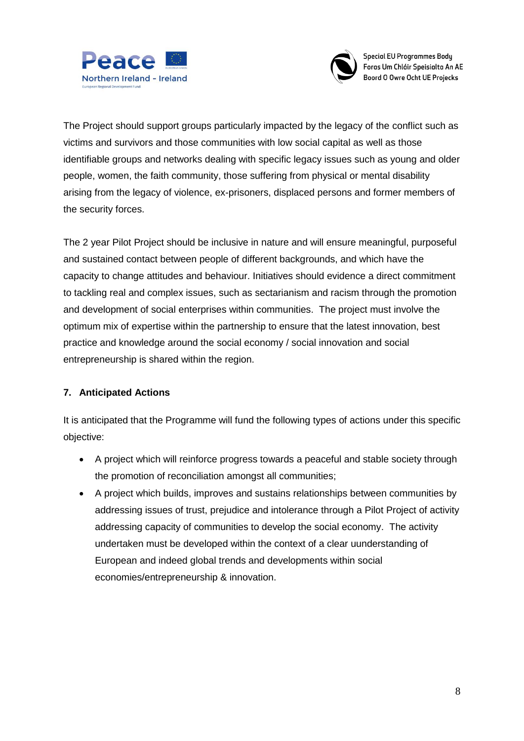



The Project should support groups particularly impacted by the legacy of the conflict such as victims and survivors and those communities with low social capital as well as those identifiable groups and networks dealing with specific legacy issues such as young and older people, women, the faith community, those suffering from physical or mental disability arising from the legacy of violence, ex-prisoners, displaced persons and former members of the security forces.

The 2 year Pilot Project should be inclusive in nature and will ensure meaningful, purposeful and sustained contact between people of different backgrounds, and which have the capacity to change attitudes and behaviour. Initiatives should evidence a direct commitment to tackling real and complex issues, such as sectarianism and racism through the promotion and development of social enterprises within communities. The project must involve the optimum mix of expertise within the partnership to ensure that the latest innovation, best practice and knowledge around the social economy / social innovation and social entrepreneurship is shared within the region.

#### **7. Anticipated Actions**

It is anticipated that the Programme will fund the following types of actions under this specific objective:

- A project which will reinforce progress towards a peaceful and stable society through the promotion of reconciliation amongst all communities;
- A project which builds, improves and sustains relationships between communities by addressing issues of trust, prejudice and intolerance through a Pilot Project of activity addressing capacity of communities to develop the social economy. The activity undertaken must be developed within the context of a clear uunderstanding of European and indeed global trends and developments within social economies/entrepreneurship & innovation.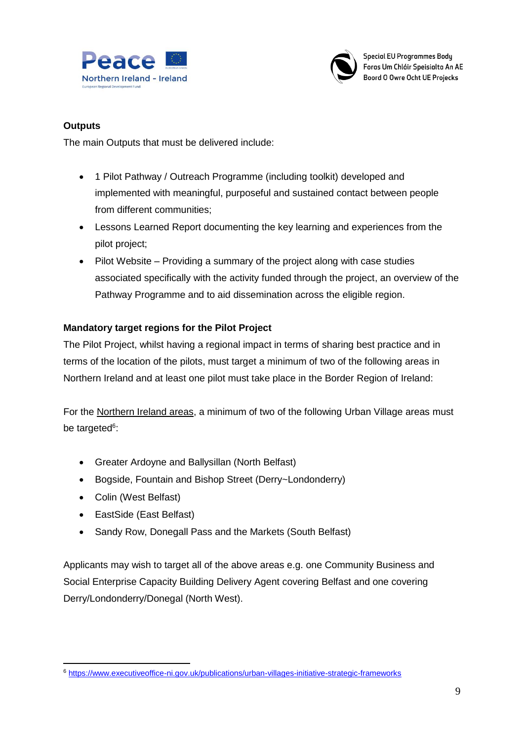



## **Outputs**

The main Outputs that must be delivered include:

- 1 Pilot Pathway / Outreach Programme (including toolkit) developed and implemented with meaningful, purposeful and sustained contact between people from different communities;
- Lessons Learned Report documenting the key learning and experiences from the pilot project;
- Pilot Website Providing a summary of the project along with case studies associated specifically with the activity funded through the project, an overview of the Pathway Programme and to aid dissemination across the eligible region.

## **Mandatory target regions for the Pilot Project**

The Pilot Project, whilst having a regional impact in terms of sharing best practice and in terms of the location of the pilots, must target a minimum of two of the following areas in Northern Ireland and at least one pilot must take place in the Border Region of Ireland:

For the Northern Ireland areas, a minimum of two of the following Urban Village areas must be targeted<sup>6</sup>:

- Greater Ardoyne and Ballysillan (North Belfast)
- Bogside, Fountain and Bishop Street (Derry~Londonderry)
- Colin (West Belfast)
- EastSide (East Belfast)
- Sandy Row, Donegall Pass and the Markets (South Belfast)

Applicants may wish to target all of the above areas e.g. one Community Business and Social Enterprise Capacity Building Delivery Agent covering Belfast and one covering Derry/Londonderry/Donegal (North West).

<sup>1</sup> <sup>6</sup> <https://www.executiveoffice-ni.gov.uk/publications/urban-villages-initiative-strategic-frameworks>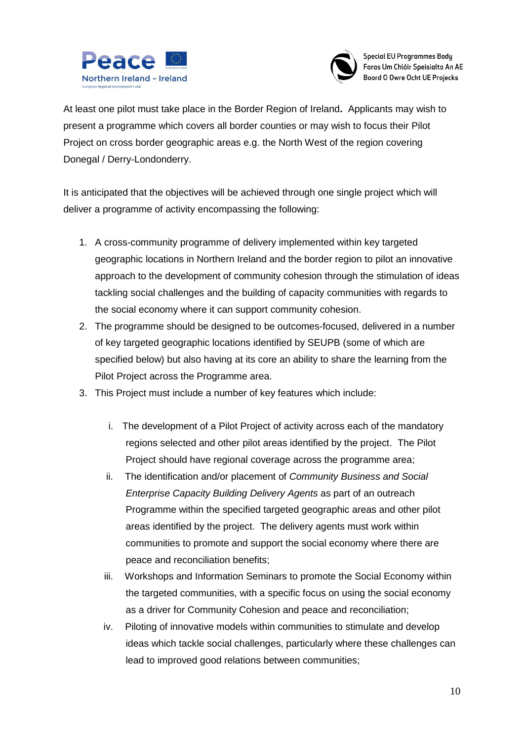



At least one pilot must take place in the Border Region of Ireland**.** Applicants may wish to present a programme which covers all border counties or may wish to focus their Pilot Project on cross border geographic areas e.g. the North West of the region covering Donegal / Derry-Londonderry.

It is anticipated that the objectives will be achieved through one single project which will deliver a programme of activity encompassing the following:

- 1. A cross-community programme of delivery implemented within key targeted geographic locations in Northern Ireland and the border region to pilot an innovative approach to the development of community cohesion through the stimulation of ideas tackling social challenges and the building of capacity communities with regards to the social economy where it can support community cohesion.
- 2. The programme should be designed to be outcomes-focused, delivered in a number of key targeted geographic locations identified by SEUPB (some of which are specified below) but also having at its core an ability to share the learning from the Pilot Project across the Programme area.
- 3. This Project must include a number of key features which include:
	- i. The development of a Pilot Project of activity across each of the mandatory regions selected and other pilot areas identified by the project. The Pilot Project should have regional coverage across the programme area;
	- ii. The identification and/or placement of *Community Business and Social Enterprise Capacity Building Delivery Agents* as part of an outreach Programme within the specified targeted geographic areas and other pilot areas identified by the project. The delivery agents must work within communities to promote and support the social economy where there are peace and reconciliation benefits;
	- iii. Workshops and Information Seminars to promote the Social Economy within the targeted communities, with a specific focus on using the social economy as a driver for Community Cohesion and peace and reconciliation;
	- iv. Piloting of innovative models within communities to stimulate and develop ideas which tackle social challenges, particularly where these challenges can lead to improved good relations between communities;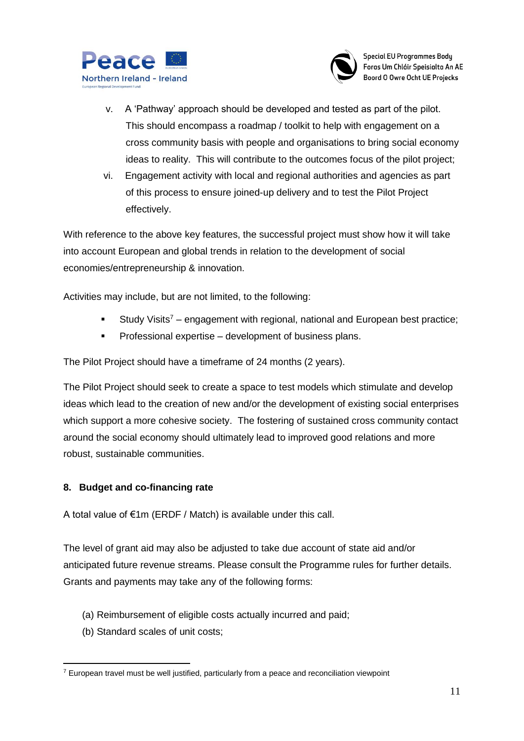



- v. A 'Pathway' approach should be developed and tested as part of the pilot. This should encompass a roadmap / toolkit to help with engagement on a cross community basis with people and organisations to bring social economy ideas to reality. This will contribute to the outcomes focus of the pilot project;
- vi. Engagement activity with local and regional authorities and agencies as part of this process to ensure joined-up delivery and to test the Pilot Project effectively.

With reference to the above key features, the successful project must show how it will take into account European and global trends in relation to the development of social economies/entrepreneurship & innovation.

Activities may include, but are not limited, to the following:

- Study Visits<sup>7</sup> engagement with regional, national and European best practice;
- **Professional expertise development of business plans.**

The Pilot Project should have a timeframe of 24 months (2 years).

The Pilot Project should seek to create a space to test models which stimulate and develop ideas which lead to the creation of new and/or the development of existing social enterprises which support a more cohesive society. The fostering of sustained cross community contact around the social economy should ultimately lead to improved good relations and more robust, sustainable communities.

#### **8. Budget and co-financing rate**

A total value of €1m (ERDF / Match) is available under this call.

The level of grant aid may also be adjusted to take due account of state aid and/or anticipated future revenue streams. Please consult the Programme rules for further details. Grants and payments may take any of the following forms:

- (a) Reimbursement of eligible costs actually incurred and paid;
- (b) Standard scales of unit costs;

<sup>1</sup>  $7$  European travel must be well justified, particularly from a peace and reconciliation viewpoint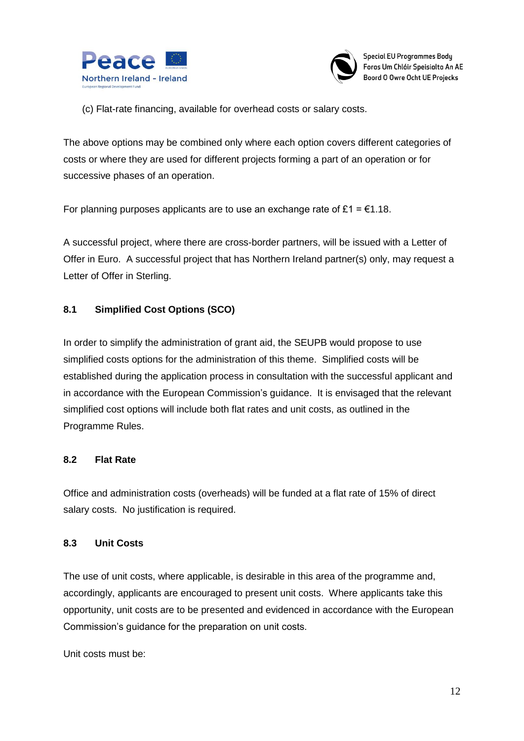



(c) Flat-rate financing, available for overhead costs or salary costs.

The above options may be combined only where each option covers different categories of costs or where they are used for different projects forming a part of an operation or for successive phases of an operation.

For planning purposes applicants are to use an exchange rate of £1 =  $\epsilon$ 1.18.

A successful project, where there are cross-border partners, will be issued with a Letter of Offer in Euro. A successful project that has Northern Ireland partner(s) only, may request a Letter of Offer in Sterling.

#### **8.1 Simplified Cost Options (SCO)**

In order to simplify the administration of grant aid, the SEUPB would propose to use simplified costs options for the administration of this theme. Simplified costs will be established during the application process in consultation with the successful applicant and in accordance with the European Commission's guidance. It is envisaged that the relevant simplified cost options will include both flat rates and unit costs, as outlined in the Programme Rules.

#### **8.2 Flat Rate**

Office and administration costs (overheads) will be funded at a flat rate of 15% of direct salary costs. No justification is required.

#### **8.3 Unit Costs**

The use of unit costs, where applicable, is desirable in this area of the programme and, accordingly, applicants are encouraged to present unit costs. Where applicants take this opportunity, unit costs are to be presented and evidenced in accordance with the European Commission's guidance for the preparation on unit costs.

Unit costs must be: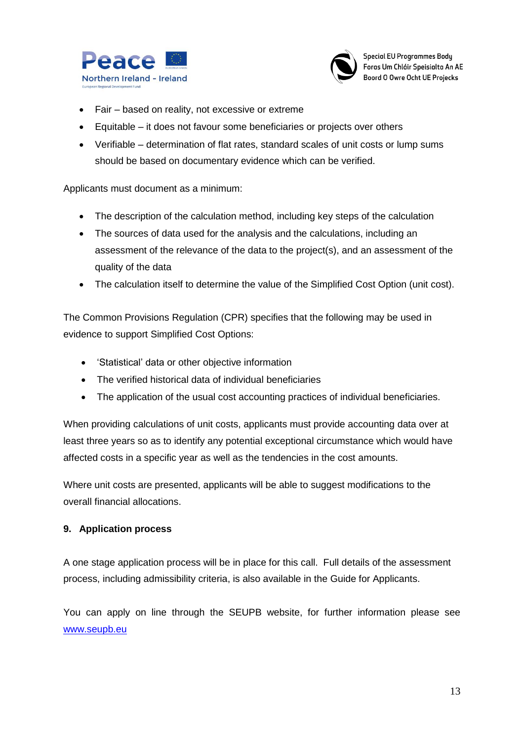



- Fair based on reality, not excessive or extreme
- Equitable it does not favour some beneficiaries or projects over others
- Verifiable determination of flat rates, standard scales of unit costs or lump sums should be based on documentary evidence which can be verified.

Applicants must document as a minimum:

- The description of the calculation method, including key steps of the calculation
- The sources of data used for the analysis and the calculations, including an assessment of the relevance of the data to the project(s), and an assessment of the quality of the data
- The calculation itself to determine the value of the Simplified Cost Option (unit cost).

The Common Provisions Regulation (CPR) specifies that the following may be used in evidence to support Simplified Cost Options:

- 'Statistical' data or other objective information
- The verified historical data of individual beneficiaries
- The application of the usual cost accounting practices of individual beneficiaries.

When providing calculations of unit costs, applicants must provide accounting data over at least three years so as to identify any potential exceptional circumstance which would have affected costs in a specific year as well as the tendencies in the cost amounts.

Where unit costs are presented, applicants will be able to suggest modifications to the overall financial allocations.

#### **9. Application process**

A one stage application process will be in place for this call. Full details of the assessment process, including admissibility criteria, is also available in the Guide for Applicants.

You can apply on line through the SEUPB website, for further information please see [www.seupb.eu](http://www.seupb.eu/)